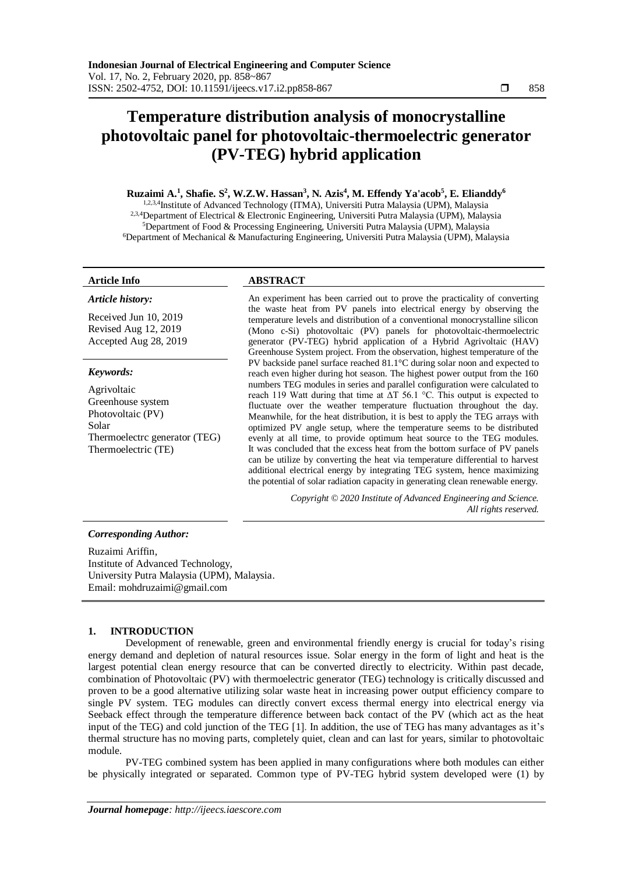# **Temperature distribution analysis of monocrystalline photovoltaic panel for photovoltaic-thermoelectric generator (PV-TEG) hybrid application**

## **Ruzaimi A.<sup>1</sup> , Shafie. S<sup>2</sup> , W.Z.W. Hassan<sup>3</sup> , N. Azis<sup>4</sup> , M. Effendy Ya'acob<sup>5</sup> , E. Elianddy<sup>6</sup>**

1,2,3,4Institute of Advanced Technology (ITMA), Universiti Putra Malaysia (UPM), Malaysia 2,3,4Department of Electrical & Electronic Engineering, Universiti Putra Malaysia (UPM), Malaysia <sup>5</sup>Department of Food & Processing Engineering, Universiti Putra Malaysia (UPM), Malaysia <sup>6</sup>Department of Mechanical & Manufacturing Engineering, Universiti Putra Malaysia (UPM), Malaysia

## *Article history:*

Received Jun 10, 2019 Revised Aug 12, 2019 Accepted Aug 28, 2019

## *Keywords:*

Agrivoltaic Greenhouse system Photovoltaic (PV) Solar Thermoelectrc generator (TEG) Thermoelectric (TE)

## **Article Info ABSTRACT**

An experiment has been carried out to prove the practicality of converting the waste heat from PV panels into electrical energy by observing the temperature levels and distribution of a conventional monocrystalline silicon (Mono c-Si) photovoltaic (PV) panels for photovoltaic-thermoelectric generator (PV-TEG) hybrid application of a Hybrid Agrivoltaic (HAV) Greenhouse System project. From the observation, highest temperature of the PV backside panel surface reached 81.1°C during solar noon and expected to reach even higher during hot season. The highest power output from the 160 numbers TEG modules in series and parallel configuration were calculated to reach 119 Watt during that time at ΔT 56.1 °C. This output is expected to fluctuate over the weather temperature fluctuation throughout the day. Meanwhile, for the heat distribution, it is best to apply the TEG arrays with optimized PV angle setup, where the temperature seems to be distributed evenly at all time, to provide optimum heat source to the TEG modules. It was concluded that the excess heat from the bottom surface of PV panels can be utilize by converting the heat via temperature differential to harvest additional electrical energy by integrating TEG system, hence maximizing the potential of solar radiation capacity in generating clean renewable energy.

> *Copyright © 2020 Institute of Advanced Engineering and Science. All rights reserved.*

## *Corresponding Author:*

Ruzaimi Ariffin, Institute of Advanced Technology, University Putra Malaysia (UPM), Malaysia. Email: mohdruzaimi@gmail.com

## **1. INTRODUCTION**

Development of renewable, green and environmental friendly energy is crucial for today's rising energy demand and depletion of natural resources issue. Solar energy in the form of light and heat is the largest potential clean energy resource that can be converted directly to electricity. Within past decade, combination of Photovoltaic (PV) with thermoelectric generator (TEG) technology is critically discussed and proven to be a good alternative utilizing solar waste heat in increasing power output efficiency compare to single PV system. TEG modules can directly convert excess thermal energy into electrical energy via Seeback effect through the temperature difference between back contact of the PV (which act as the heat input of the TEG) and cold junction of the TEG [1]. In addition, the use of TEG has many advantages as it's thermal structure has no moving parts, completely quiet, clean and can last for years, similar to photovoltaic module.

PV-TEG combined system has been applied in many configurations where both modules can either be physically integrated or separated. Common type of PV-TEG hybrid system developed were (1) by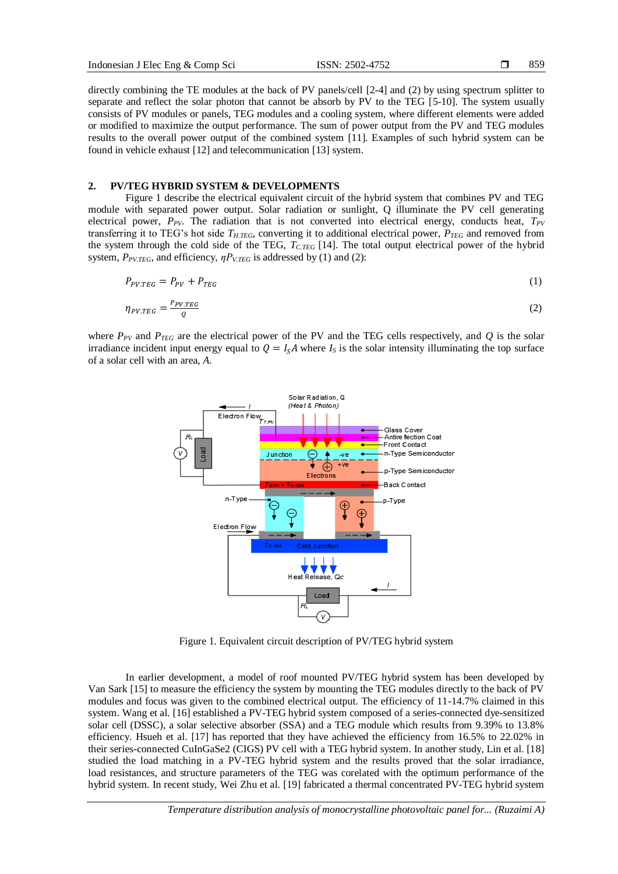859

directly combining the TE modules at the back of PV panels/cell [2-4] and (2) by using spectrum splitter to separate and reflect the solar photon that cannot be absorb by PV to the TEG [5-10]. The system usually consists of PV modules or panels, TEG modules and a cooling system, where different elements were added or modified to maximize the output performance. The sum of power output from the PV and TEG modules results to the overall power output of the combined system [11]. Examples of such hybrid system can be found in vehicle exhaust [12] and telecommunication [13] system.

## **2. PV/TEG HYBRID SYSTEM & DEVELOPMENTS**

Figure 1 describe the electrical equivalent circuit of the hybrid system that combines PV and TEG module with separated power output. Solar radiation or sunlight, Q illuminate the PV cell generating electrical power, *PPV*. The radiation that is not converted into electrical energy, conducts heat, *TPV* transferring it to TEG's hot side  $T_{H,TEG}$ , converting it to additional electrical power,  $P_{TEG}$  and removed from the system through the cold side of the TEG,  $T_{CFGG}$  [14]. The total output electrical power of the hybrid system, *PPV.TEG*, and efficiency, *ηPV.TEG* is addressed by (1) and (2):

$$
P_{PV,TEG} = P_{PV} + P_{TEG} \tag{1}
$$

$$
\eta_{PV.TEG} = \frac{P_{PV.TEG}}{Q} \tag{2}
$$

where  $P_{PV}$  and  $P_{TEG}$  are the electrical power of the PV and the TEG cells respectively, and  $Q$  is the solar irradiance incident input energy equal to  $Q = I_sA$  where  $I_s$  is the solar intensity illuminating the top surface of a solar cell with an area, *A*.



Figure 1. Equivalent circuit description of PV/TEG hybrid system

In earlier development, a model of roof mounted PV/TEG hybrid system has been developed by Van Sark [15] to measure the efficiency the system by mounting the TEG modules directly to the back of PV modules and focus was given to the combined electrical output. The efficiency of 11-14.7% claimed in this system. Wang et al. [16] established a PV-TEG hybrid system composed of a series-connected dye-sensitized solar cell (DSSC), a solar selective absorber (SSA) and a TEG module which results from 9.39% to 13.8% efficiency. Hsueh et al. [17] has reported that they have achieved the efficiency from 16.5% to 22.02% in their series-connected CuInGaSe2 (CIGS) PV cell with a TEG hybrid system. In another study, Lin et al. [18] studied the load matching in a PV-TEG hybrid system and the results proved that the solar irradiance, load resistances, and structure parameters of the TEG was corelated with the optimum performance of the hybrid system. In recent study, Wei Zhu et al. [19] fabricated a thermal concentrated PV-TEG hybrid system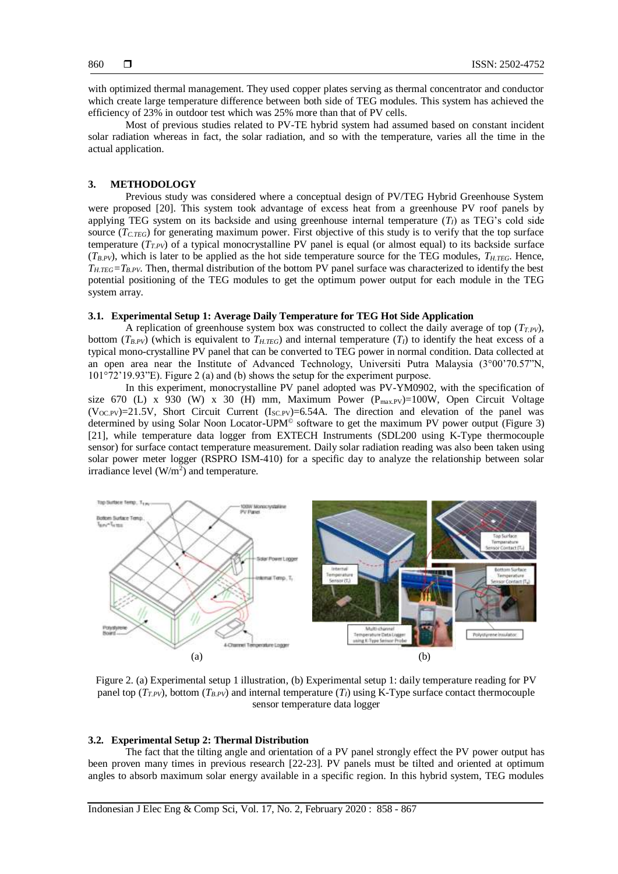with optimized thermal management. They used copper plates serving as thermal concentrator and conductor which create large temperature difference between both side of TEG modules. This system has achieved the efficiency of 23% in outdoor test which was 25% more than that of PV cells.

Most of previous studies related to PV-TE hybrid system had assumed based on constant incident solar radiation whereas in fact, the solar radiation, and so with the temperature, varies all the time in the actual application.

## **3. METHODOLOGY**

Previous study was considered where a conceptual design of PV/TEG Hybrid Greenhouse System were proposed [20]. This system took advantage of excess heat from a greenhouse PV roof panels by applying TEG system on its backside and using greenhouse internal temperature  $(T_I)$  as TEG's cold side source (*TC.TEG*) for generating maximum power. First objective of this study is to verify that the top surface temperature  $(T_{TPV})$  of a typical monocrystalline PV panel is equal (or almost equal) to its backside surface  $(T_{B.PV})$ , which is later to be applied as the hot side temperature source for the TEG modules,  $T_{H.TEG}$ . Hence,  $T_{H,TEG} = T_{B,PV}$ . Then, thermal distribution of the bottom PV panel surface was characterized to identify the best potential positioning of the TEG modules to get the optimum power output for each module in the TEG system array.

## **3.1. Experimental Setup 1: Average Daily Temperature for TEG Hot Side Application**

A replication of greenhouse system box was constructed to collect the daily average of top  $(T_{TPV})$ , bottom  $(T_{B.PV})$  (which is equivalent to  $T_{H.TEG}$ ) and internal temperature  $(T_I)$  to identify the heat excess of a typical mono-crystalline PV panel that can be converted to TEG power in normal condition. Data collected at an open area near the Institute of Advanced Technology, Universiti Putra Malaysia (3°00'70.57"N, 101°72'19.93"E). Figure 2 (a) and (b) shows the setup for the experiment purpose.

In this experiment, monocrystalline PV panel adopted was PV-YM0902, with the specification of size 670 (L) x 930 (W) x 30 (H) mm, Maximum Power  $(P_{max.PV})=100W$ , Open Circuit Voltage  $(V_{OCPV})$ =21.5V, Short Circuit Current  $(I_{SCPV})$ =6.54A. The direction and elevation of the panel was determined by using Solar Noon Locator-UPM<sup>®</sup> software to get the maximum PV power output (Figure 3) [21], while temperature data logger from EXTECH Instruments (SDL200 using K-Type thermocouple sensor) for surface contact temperature measurement. Daily solar radiation reading was also been taken using solar power meter logger (RSPRO ISM-410) for a specific day to analyze the relationship between solar irradiance level  $(W/m^2)$  and temperature.



Figure 2. (a) Experimental setup 1 illustration, (b) Experimental setup 1: daily temperature reading for PV panel top  $(T_{T,PV})$ , bottom  $(T_{B,PV})$  and internal temperature  $(T_I)$  using K-Type surface contact thermocouple sensor temperature data logger

### **3.2. Experimental Setup 2: Thermal Distribution**

The fact that the tilting angle and orientation of a PV panel strongly effect the PV power output has been proven many times in previous research [22-23]. PV panels must be tilted and oriented at optimum angles to absorb maximum solar energy available in a specific region. In this hybrid system, TEG modules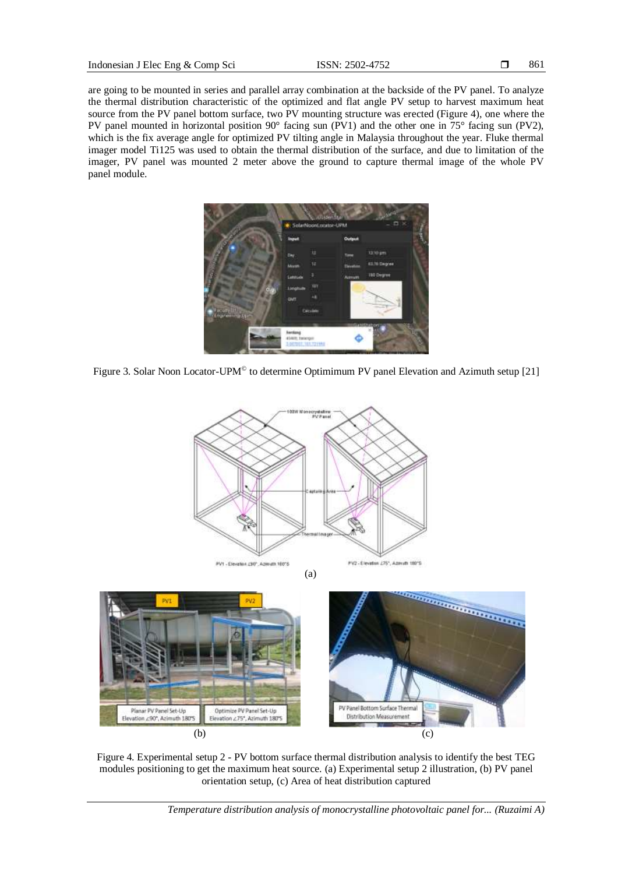are going to be mounted in series and parallel array combination at the backside of the PV panel. To analyze the thermal distribution characteristic of the optimized and flat angle PV setup to harvest maximum heat source from the PV panel bottom surface, two PV mounting structure was erected (Figure 4), one where the PV panel mounted in horizontal position 90° facing sun (PV1) and the other one in 75° facing sun (PV2), which is the fix average angle for optimized PV tilting angle in Malaysia throughout the year. Fluke thermal imager model Ti125 was used to obtain the thermal distribution of the surface, and due to limitation of the imager, PV panel was mounted 2 meter above the ground to capture thermal image of the whole PV panel module.



Figure 3. Solar Noon Locator-UPM<sup>®</sup> to determine Optimimum PV panel Elevation and Azimuth setup [21]



Figure 4. Experimental setup 2 - PV bottom surface thermal distribution analysis to identify the best TEG modules positioning to get the maximum heat source. (a) Experimental setup 2 illustration, (b) PV panel orientation setup, (c) Area of heat distribution captured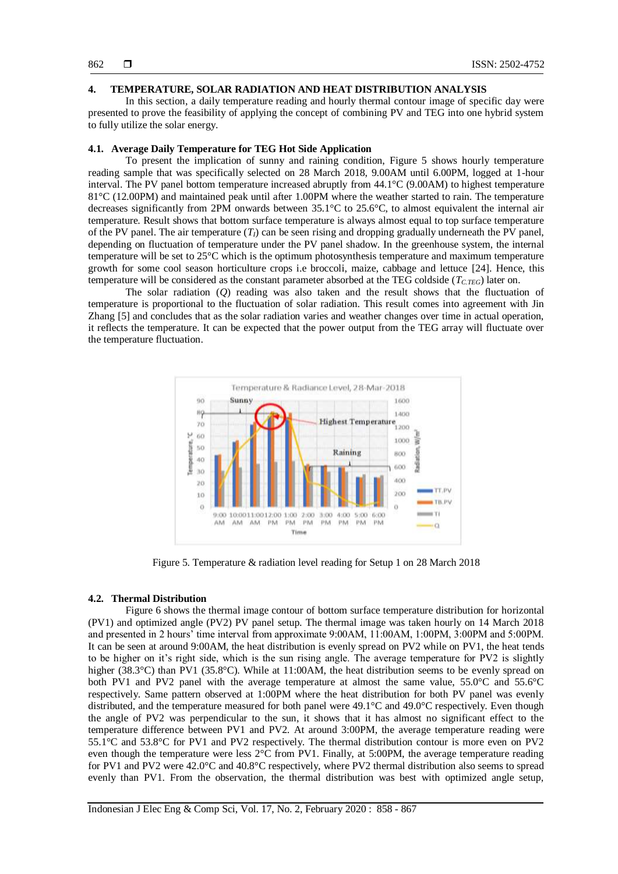## **4. TEMPERATURE, SOLAR RADIATION AND HEAT DISTRIBUTION ANALYSIS**

In this section, a daily temperature reading and hourly thermal contour image of specific day were presented to prove the feasibility of applying the concept of combining PV and TEG into one hybrid system to fully utilize the solar energy.

## **4.1. Average Daily Temperature for TEG Hot Side Application**

To present the implication of sunny and raining condition, Figure 5 shows hourly temperature reading sample that was specifically selected on 28 March 2018, 9.00AM until 6.00PM, logged at 1-hour interval. The PV panel bottom temperature increased abruptly from 44.1°C (9.00AM) to highest temperature 81°C (12.00PM) and maintained peak until after 1.00PM where the weather started to rain. The temperature decreases significantly from 2PM onwards between 35.1°C to 25.6°C, to almost equivalent the internal air temperature. Result shows that bottom surface temperature is always almost equal to top surface temperature of the PV panel. The air temperature  $(T_I)$  can be seen rising and dropping gradually underneath the PV panel, depending on fluctuation of temperature under the PV panel shadow. In the greenhouse system, the internal temperature will be set to 25°C which is the optimum photosynthesis temperature and maximum temperature growth for some cool season horticulture crops i.e broccoli, maize, cabbage and lettuce [24]. Hence, this temperature will be considered as the constant parameter absorbed at the TEG coldside ( $T_{C,TEG}$ ) later on.

The solar radiation (*Q*) reading was also taken and the result shows that the fluctuation of temperature is proportional to the fluctuation of solar radiation. This result comes into agreement with Jin Zhang [5] and concludes that as the solar radiation varies and weather changes over time in actual operation, it reflects the temperature. It can be expected that the power output from the TEG array will fluctuate over the temperature fluctuation.



Figure 5. Temperature & radiation level reading for Setup 1 on 28 March 2018

#### **4.2. Thermal Distribution**

Figure 6 shows the thermal image contour of bottom surface temperature distribution for horizontal (PV1) and optimized angle (PV2) PV panel setup. The thermal image was taken hourly on 14 March 2018 and presented in 2 hours' time interval from approximate 9:00AM, 11:00AM, 1:00PM, 3:00PM and 5:00PM. It can be seen at around 9:00AM, the heat distribution is evenly spread on PV2 while on PV1, the heat tends to be higher on it's right side, which is the sun rising angle. The average temperature for PV2 is slightly higher (38.3°C) than PV1 (35.8°C). While at 11:00AM, the heat distribution seems to be evenly spread on both PV1 and PV2 panel with the average temperature at almost the same value, 55.0°C and 55.6°C respectively. Same pattern observed at 1:00PM where the heat distribution for both PV panel was evenly distributed, and the temperature measured for both panel were 49.1°C and 49.0°C respectively. Even though the angle of PV2 was perpendicular to the sun, it shows that it has almost no significant effect to the temperature difference between PV1 and PV2. At around 3:00PM, the average temperature reading were 55.1°C and 53.8°C for PV1 and PV2 respectively. The thermal distribution contour is more even on PV2 even though the temperature were less 2°C from PV1. Finally, at 5:00PM, the average temperature reading for PV1 and PV2 were 42.0°C and 40.8°C respectively, where PV2 thermal distribution also seems to spread evenly than PV1. From the observation, the thermal distribution was best with optimized angle setup,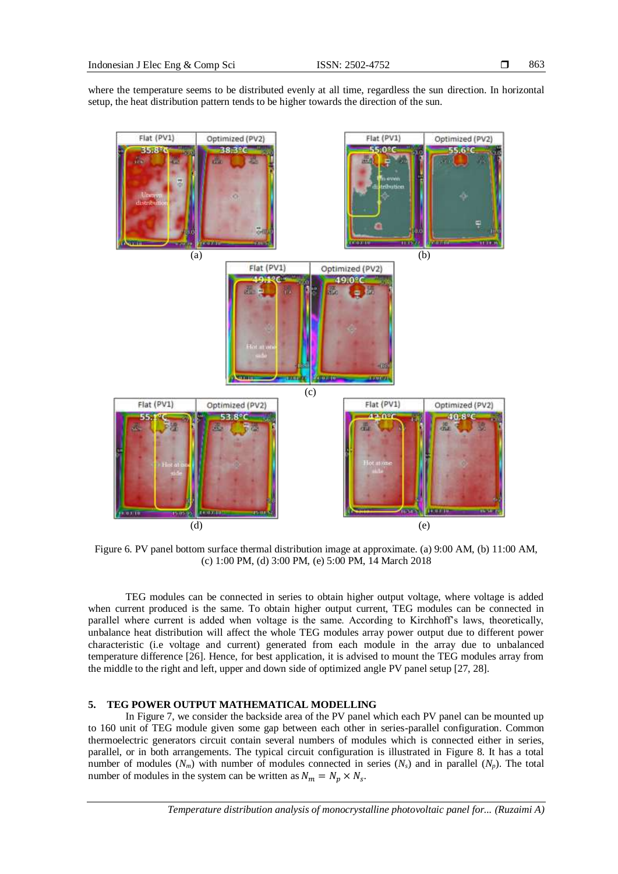where the temperature seems to be distributed evenly at all time, regardless the sun direction. In horizontal setup, the heat distribution pattern tends to be higher towards the direction of the sun.



Figure 6. PV panel bottom surface thermal distribution image at approximate. (a) 9:00 AM, (b) 11:00 AM, (c) 1:00 PM, (d) 3:00 PM, (e) 5:00 PM, 14 March 2018

TEG modules can be connected in series to obtain higher output voltage, where voltage is added when current produced is the same. To obtain higher output current, TEG modules can be connected in parallel where current is added when voltage is the same. According to Kirchhoff's laws, theoretically, unbalance heat distribution will affect the whole TEG modules array power output due to different power characteristic (i.e voltage and current) generated from each module in the array due to unbalanced temperature difference [26]. Hence, for best application, it is advised to mount the TEG modules array from the middle to the right and left, upper and down side of optimized angle PV panel setup [27, 28].

### **5. TEG POWER OUTPUT MATHEMATICAL MODELLING**

In Figure 7, we consider the backside area of the PV panel which each PV panel can be mounted up to 160 unit of TEG module given some gap between each other in series-parallel configuration. Common thermoelectric generators circuit contain several numbers of modules which is connected either in series, parallel, or in both arrangements. The typical circuit configuration is illustrated in Figure 8. It has a total number of modules  $(N_m)$  with number of modules connected in series  $(N_s)$  and in parallel  $(N_p)$ . The total number of modules in the system can be written as  $N_m = N_p \times N_s$ .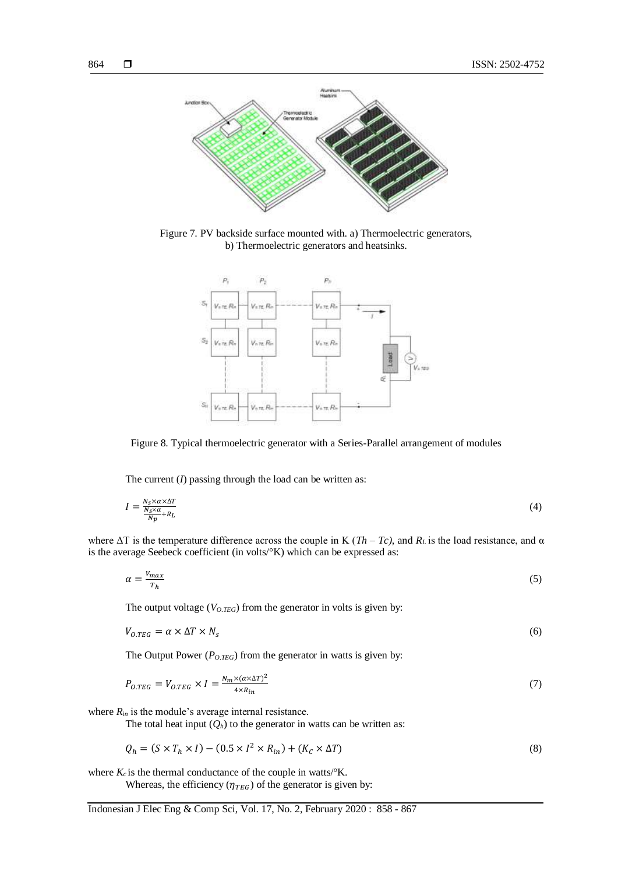

Figure 7. PV backside surface mounted with. a) Thermoelectric generators, b) Thermoelectric generators and heatsinks.



Figure 8. Typical thermoelectric generator with a Series-Parallel arrangement of modules

The current (*I*) passing through the load can be written as:

$$
I = \frac{N_S \times \alpha \times \Delta T}{N_p} \tag{4}
$$

where  $\Delta T$  is the temperature difference across the couple in K ( $Th - Tc$ ), and  $R_L$  is the load resistance, and  $\alpha$ is the average Seebeck coefficient (in volts/°K) which can be expressed as:

$$
\alpha = \frac{V_{max}}{T_h} \tag{5}
$$

The output voltage  $(V_{O,TEG})$  from the generator in volts is given by:

$$
V_{0.TEG} = \alpha \times \Delta T \times N_s \tag{6}
$$

The Output Power ( $P_{O,TEG}$ ) from the generator in watts is given by:

$$
P_{O.TEG} = V_{O.TEG} \times I = \frac{N_m \times (\alpha \times \Delta T)^2}{4 \times R_{in}} \tag{7}
$$

where  $R_{in}$  is the module's average internal resistance.

The total heat input  $(Q_h)$  to the generator in watts can be written as:

$$
Q_h = (S \times T_h \times I) - (0.5 \times I^2 \times R_{in}) + (K_c \times \Delta T)
$$
\n
$$
(8)
$$

where  $K_c$  is the thermal conductance of the couple in watts/ ${}^{\circ}$ K.

Whereas, the efficiency ( $\eta_{TEG}$ ) of the generator is given by: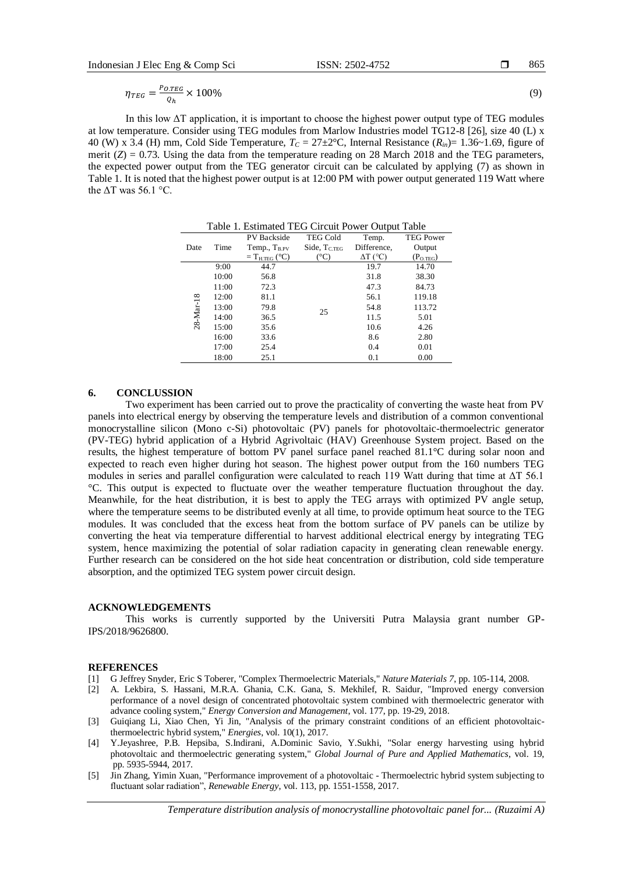865

$$
\eta_{TEG} = \frac{P_{O,TEG}}{Q_h} \times 100\%
$$
\n(9)

In this low ΔT application, it is important to choose the highest power output type of TEG modules at low temperature. Consider using TEG modules from Marlow Industries model TG12-8 [26], size 40 (L) x 40 (W) x 3.4 (H) mm, Cold Side Temperature,  $T_c = 27 \pm 2$ °C, Internal Resistance ( $R_{in}$ )= 1.36~1.69, figure of merit  $(Z) = 0.73$ . Using the data from the temperature reading on 28 March 2018 and the TEG parameters, the expected power output from the TEG generator circuit can be calculated by applying (7) as shown in Table 1. It is noted that the highest power output is at 12:00 PM with power output generated 119 Watt where the  $\Delta T$  was 56.1 °C.

| Table 1. Estimated TEG Circuit Power Output Table |       |                          |                   |                 |                  |
|---------------------------------------------------|-------|--------------------------|-------------------|-----------------|------------------|
| Date                                              | Time  | <b>PV</b> Backside       | <b>TEG Cold</b>   | Temp.           | <b>TEG Power</b> |
|                                                   |       | Temp., $T_{B.PV}$        | Side, $T_{C,TEG}$ | Difference,     | Output           |
|                                                   |       | $=T_{\text{H.TEG}}$ (°C) | (°C)              | $\Delta T$ (°C) | $(P_{O.TEG})$    |
| 28-Mar-18                                         | 9:00  | 44.7                     | 25                | 19.7            | 14.70            |
|                                                   | 10:00 | 56.8                     |                   | 31.8            | 38.30            |
|                                                   | 11:00 | 72.3                     |                   | 47.3            | 84.73            |
|                                                   | 12:00 | 81.1                     |                   | 56.1            | 119.18           |
|                                                   | 13:00 | 79.8                     |                   | 54.8            | 113.72           |
|                                                   | 14:00 | 36.5                     |                   | 11.5            | 5.01             |
|                                                   | 15:00 | 35.6                     |                   | 10.6            | 4.26             |
|                                                   | 16:00 | 33.6                     |                   | 8.6             | 2.80             |
|                                                   | 17:00 | 25.4                     |                   | 0.4             | 0.01             |
|                                                   | 18:00 | 25.1                     |                   | 0.1             | 0.00             |

#### **6. CONCLUSSION**

Two experiment has been carried out to prove the practicality of converting the waste heat from PV panels into electrical energy by observing the temperature levels and distribution of a common conventional monocrystalline silicon (Mono c-Si) photovoltaic (PV) panels for photovoltaic-thermoelectric generator (PV-TEG) hybrid application of a Hybrid Agrivoltaic (HAV) Greenhouse System project. Based on the results, the highest temperature of bottom PV panel surface panel reached 81.1°C during solar noon and expected to reach even higher during hot season. The highest power output from the 160 numbers TEG modules in series and parallel configuration were calculated to reach 119 Watt during that time at ΔT 56.1 °C. This output is expected to fluctuate over the weather temperature fluctuation throughout the day. Meanwhile, for the heat distribution, it is best to apply the TEG arrays with optimized PV angle setup, where the temperature seems to be distributed evenly at all time, to provide optimum heat source to the TEG modules. It was concluded that the excess heat from the bottom surface of PV panels can be utilize by converting the heat via temperature differential to harvest additional electrical energy by integrating TEG system, hence maximizing the potential of solar radiation capacity in generating clean renewable energy. Further research can be considered on the hot side heat concentration or distribution, cold side temperature absorption, and the optimized TEG system power circuit design.

#### **ACKNOWLEDGEMENTS**

This works is currently supported by the Universiti Putra Malaysia grant number GP-IPS/2018/9626800.

## **REFERENCES**

- [1] G Jeffrey Snyder, Eric S Toberer, "Complex Thermoelectric Materials," *Nature Materials 7*, pp. 105-114, 2008.
- [2] A. Lekbira, S. Hassani, M.R.A. Ghania, C.K. Gana, S. Mekhilef, R. Saidur, "Improved energy conversion performance of a novel design of concentrated photovoltaic system combined with thermoelectric generator with advance cooling system," *Energy Conversion and Management*, vol. 177, pp. 19-29, 2018.
- [3] Guiqiang Li, Xiao Chen, Yi Jin, "Analysis of the primary constraint conditions of an efficient photovoltaicthermoelectric hybrid system," *Energies*, vol. 10(1), 2017.
- [4] Y.Jeyashree, P.B. Hepsiba, S.Indirani, A.Dominic Savio, Y.Sukhi, "Solar energy harvesting using hybrid photovoltaic and thermoelectric generating system," *Global Journal of Pure and Applied Mathematics*, vol. 19, pp. 5935-5944, 2017.
- [5] Jin Zhang, Yimin Xuan, "Performance improvement of a photovoltaic Thermoelectric hybrid system subjecting to fluctuant solar radiation", *Renewable Energy*, vol. 113, pp. 1551-1558, 2017.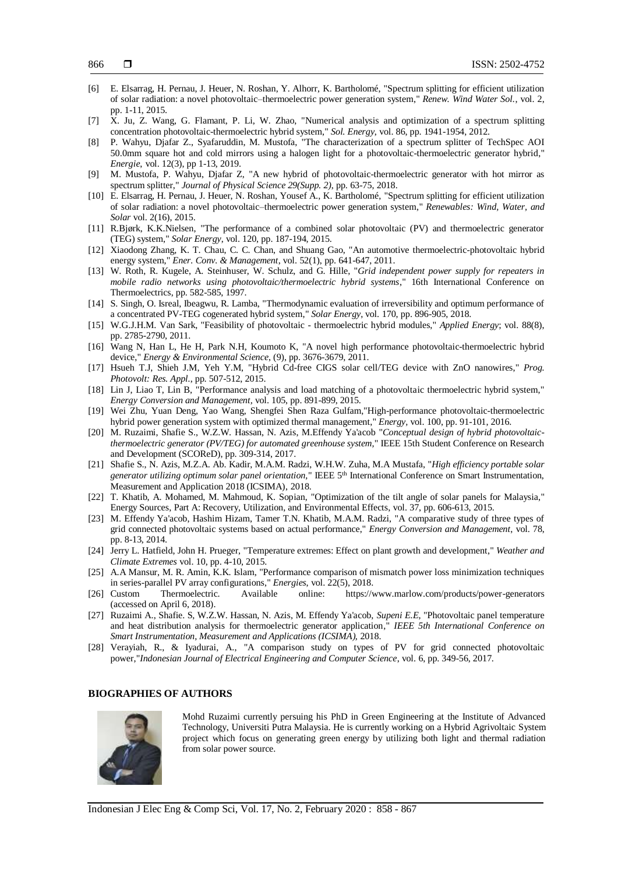- [6] E. Elsarrag, H. Pernau, J. Heuer, N. Roshan, Y. Alhorr, K. Bartholomé, "Spectrum splitting for efficient utilization of solar radiation: a novel photovoltaic–thermoelectric power generation system," *Renew. Wind Water Sol.*, vol. 2, pp. 1-11, 2015.
- [7] X. Ju, Z. Wang, G. Flamant, P. Li, W. Zhao, "Numerical analysis and optimization of a spectrum splitting concentration photovoltaic-thermoelectric hybrid system," *Sol. Energy*, vol. 86, pp. 1941-1954, 2012.
- [8] P. Wahyu, Djafar Z., Syafaruddin, M. Mustofa, "The characterization of a spectrum splitter of TechSpec AOI 50.0mm square hot and cold mirrors using a halogen light for a photovoltaic-thermoelectric generator hybrid," *Energie*, vol. 12(3), pp 1-13, 2019.
- [9] M. Mustofa, P. Wahyu, Djafar Z, "A new hybrid of photovoltaic-thermoelectric generator with hot mirror as spectrum splitter," *Journal of Physical Science 29(Supp. 2)*, pp. 63-75, 2018.
- [10] E. Elsarrag, H. Pernau, J. Heuer, N. Roshan, Yousef A., K. Bartholomé, "Spectrum splitting for efficient utilization of solar radiation: a novel photovoltaic–thermoelectric power generation system," *Renewables: Wind, Water, and Solar* vol. 2(16), 2015.
- [11] R.Bjørk, K.K.Nielsen, "The performance of a combined solar photovoltaic (PV) and thermoelectric generator (TEG) system," *Solar Energy*, vol. 120, pp. 187-194, 2015.
- [12] Xiaodong Zhang, K. T. Chau, C. C. Chan, and Shuang Gao, "An automotive thermoelectric-photovoltaic hybrid energy system," *Ener. Conv. & Management*, vol. 52(1), pp. 641-647, 2011.
- [13] W. Roth, R. Kugele, A. Steinhuser, W. Schulz, and G. Hille, "*Grid independent power supply for repeaters in mobile radio networks using photovoltaic/thermoelectric hybrid systems*," 16th International Conference on Thermoelectrics, pp. 582-585, 1997.
- [14] S. Singh, O. Isreal, Ibeagwu, R. Lamba, "Thermodynamic evaluation of irreversibility and optimum performance of a concentrated PV-TEG cogenerated hybrid system," *Solar Energy*, vol. 170, pp. 896-905, 2018.
- [15] W.G.J.H.M. Van Sark, "Feasibility of photovoltaic thermoelectric hybrid modules," *Applied Energy*; vol. 88(8), pp. 2785-2790, 2011.
- [16] Wang N, Han L, He H, Park N.H, Koumoto K, "A novel high performance photovoltaic-thermoelectric hybrid device," *Energy & Environmental Science*, (9), pp. 3676-3679, 2011.
- [17] Hsueh T.J, Shieh J.M, Yeh Y.M, "Hybrid Cd-free CIGS solar cell/TEG device with ZnO nanowires," *Prog. Photovolt: Res. Appl.*, pp. 507-512, 2015.
- [18] Lin J, Liao T, Lin B, "Performance analysis and load matching of a photovoltaic thermoelectric hybrid system," *Energy Conversion and Management,* vol. 105, pp. 891-899, 2015.
- [19] Wei Zhu, Yuan Deng, Yao Wang, Shengfei Shen Raza Gulfam,"High-performance photovoltaic-thermoelectric hybrid power generation system with optimized thermal management," *Energy,* vol. 100, pp. 91-101, 2016.
- [20] M. Ruzaimi, Shafie S., W.Z.W. Hassan, N. Azis, M.Effendy Ya'acob "*Conceptual design of hybrid photovoltaicthermoelectric generator (PV/TEG) for automated greenhouse system,*" IEEE 15th Student Conference on Research and Development (SCOReD), pp. 309-314, 2017.
- [21] Shafie S., N. Azis, M.Z.A. Ab. Kadir, M.A.M. Radzi, W.H.W. Zuha, M.A Mustafa, "*High efficiency portable solar generator utilizing optimum solar panel orientation,*" IEEE 5th International Conference on Smart Instrumentation, Measurement and Application 2018 (ICSIMA), 2018.
- [22] T. Khatib, A. Mohamed, M. Mahmoud, K. Sopian, "Optimization of the tilt angle of solar panels for Malaysia," Energy Sources, Part A: Recovery, Utilization, and Environmental Effects, vol. 37, pp. 606-613, 2015.
- [23] M. Effendy Ya'acob, Hashim Hizam, Tamer T.N. Khatib, M.A.M. Radzi, "A comparative study of three types of grid connected photovoltaic systems based on actual performance," *Energy Conversion and Management*, vol. 78, pp. 8-13, 2014.
- [24] Jerry L. Hatfield, John H. Prueger, "Temperature extremes: Effect on plant growth and development," *Weather and Climate Extremes* vol. 10, pp. 4-10, 2015.
- [25] A.A Mansur, M. R. Amin, K.K. Islam, "Performance comparison of mismatch power loss minimization techniques in series-parallel PV array configurations," *Energies*, vol. 22(5), 2018.
- [26] Custom Thermoelectric. Available online: https://www.marlow.com/products/power-generators (accessed on April 6, 2018).
- [27] Ruzaimi A., Shafie. S, W.Z.W. Hassan, N. Azis, M. Effendy Ya'acob, *Supeni E.E,* "Photovoltaic panel temperature and heat distribution analysis for thermoelectric generator application," *IEEE 5th International Conference on Smart Instrumentation, Measurement and Applications (ICSIMA),* 2018.
- [28] Verayiah, R., & Iyadurai, A., "A comparison study on types of PV for grid connected photovoltaic power,"*Indonesian Journal of Electrical Engineering and Computer Science*, vol. 6, pp. 349-56, 2017.

## **BIOGRAPHIES OF AUTHORS**



Mohd Ruzaimi currently persuing his PhD in Green Engineering at the Institute of Advanced Technology, Universiti Putra Malaysia. He is currently working on a Hybrid Agrivoltaic System project which focus on generating green energy by utilizing both light and thermal radiation from solar power source.